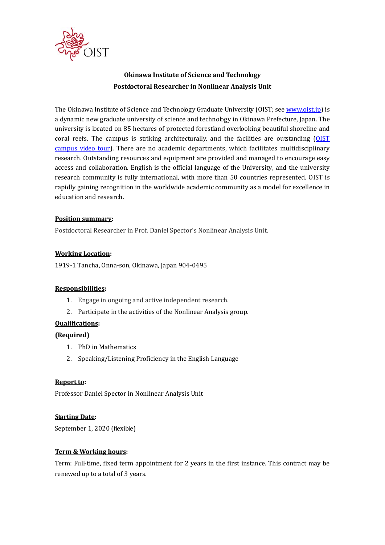

# **Okinawa Institute of Science and Technology Postdoctoral Researcher in Nonlinear Analysis Unit**

The Okinawa Institute of Science and Technology Graduate University (OIST; see www.oist.jp) is a dynamic new graduate university of science and technology in Okinawa Prefecture, Japan. The university is located on 85 hectares of protected forestland overlooking beautiful shoreline and coral reefs. The campus is striking architecturally, and the facilities are outstanding (OIST campus video tour). There are no academic departments, which facilitates multidisciplinary research. Outstanding resources and equipment are provided and managed to encourage easy access and collaboration. English is the official language of the University, and the university research community is fully international, with more than 50 countries represented. OIST is rapidly gaining recognition in the worldwide academic community as a model for excellence in education and research.

# **Position summary:**

Postdoctoral Researcher in Prof. Daniel Spector's Nonlinear Analysis Unit.

### **Working Location:**

1919-1 Tancha, Onna-son, Okinawa, Japan 904-0495

### **Responsibilities:**

- 1. Engage in ongoing and active independent research.
- 2. Participate in the activities of the Nonlinear Analysis group.

# **Qualifications:**

# **(Required)**

- 1. PhD in Mathematics
- 2. Speaking/Listening Proficiency in the English Language

### **Report to:**

Professor Daniel Spector in Nonlinear Analysis Unit

### **Starting Date:**

September 1, 2020 (flexible)

# **Term & Working hours:**

Term: Full-time, fixed term appointment for 2 years in the first instance. This contract may be renewed up to a total of 3 years.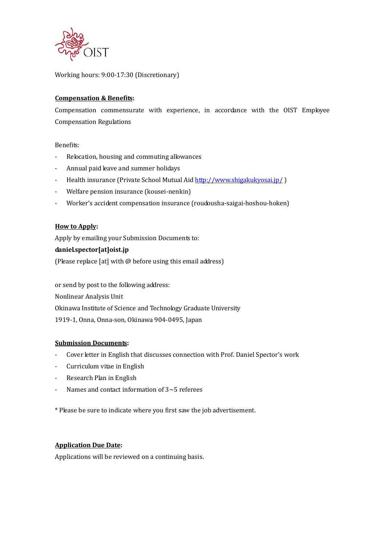

Working hours: 9:00-17:30 (Discretionary)

### **Compensation & Benefits:**

Compensation commensurate with experience, in accordance with the OIST Employee Compensation Regulations

### Benefits:

- Relocation, housing and commuting allowances
- Annual paid leave and summer holidays
- Health insurance (Private School Mutual Aid http://www.shigakukyosai.jp/ )
- Welfare pension insurance (kousei-nenkin)
- Worker's accident compensation insurance (roudousha-saigai-hoshou-hoken)

### **How to Apply:**

Apply by emailing your Submission Documents to:

### **daniel.spector[at]oist.jp**

(Please replace [at] with @ before using this email address)

or send by post to the following address: Nonlinear Analysis Unit Okinawa Institute of Science and Technology Graduate University 1919-1, Onna, Onna-son, Okinawa 904-0495, Japan

### **Submission Documents:**

- Cover letter in English that discusses connection with Prof. Daniel Spector's work
- Curriculum vitae in English
- Research Plan in English
- Names and contact information of 3~5 referees

\* Please be sure to indicate where you first saw the job advertisement.

### **Application Due Date:**

Applications will be reviewed on a continuing basis.